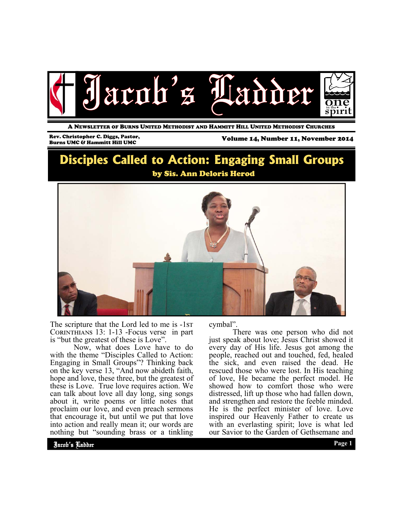

A NEWSLETTER OF BURNS UNITED METHODIST AND HAMMITT HILL UNITED METHODIST CHURCHES

## Rev. Christopher C. Diggs, Pastor,

Volume 14, Number 11, November 2014

# **Disciples Called to Action: Engaging Small Groups**  by Sis. Ann Deloris Herod



The scripture that the Lord led to me is -1st CORINTHIANS  $13: 1-13$  -Focus verse in part is "but the greatest of these is Love".

 Now, what does Love have to do with the theme "Disciples Called to Action: Engaging in Small Groups"? Thinking back on the key verse 13, "And now abideth faith, hope and love, these three, but the greatest of these is Love. True love requires action. We can talk about love all day long, sing songs about it, write poems or little notes that proclaim our love, and even preach sermons that encourage it, but until we put that love into action and really mean it; our words are nothing but "sounding brass or a tinkling

cymbal".

 There was one person who did not just speak about love; Jesus Christ showed it every day of His life. Jesus got among the people, reached out and touched, fed, healed the sick, and even raised the dead. He rescued those who were lost. In His teaching of love, He became the perfect model. He showed how to comfort those who were distressed, lift up those who had fallen down, and strengthen and restore the feeble minded. He is the perfect minister of love. Love inspired our Heavenly Father to create us with an everlasting spirit; love is what led our Savior to the Garden of Gethsemane and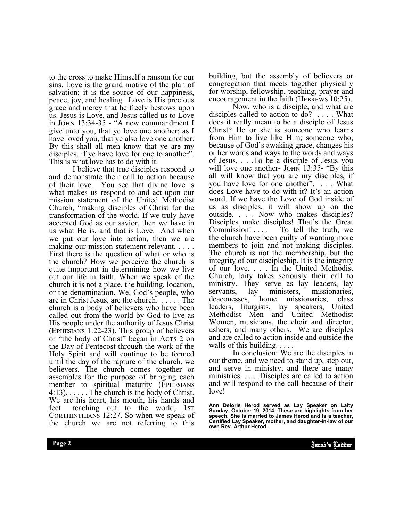to the cross to make Himself a ransom for our sins. Love is the grand motive of the plan of salvation; it is the source of our happiness, peace, joy, and healing. Love is His precious grace and mercy that he freely bestows upon us. Jesus is Love, and Jesus called us to Love in JOHN 13:34-35 - "A new commandment I give unto you, that ye love one another; as I have loved you, that ye also love one another. By this shall all men know that ye are my disciples, if ye have love for one to another". This is what love has to do with it.

 I believe that true disciples respond to and demonstrate their call to action because of their love. You see that divine love is what makes us respond to and act upon our mission statement of the United Methodist Church, "making disciples of Christ for the transformation of the world. If we truly have accepted God as our savior, then we have in us what He is, and that is Love. And when we put our love into action, then we are making our mission statement relevant. . . . . First there is the question of what or who is the church? How we perceive the church is quite important in determining how we live out our life in faith. When we speak of the church it is not a place, the building, location, or the denomination. We, God's people, who are in Christ Jesus, are the church. . . . . . The church is a body of believers who have been called out from the world by God to live as His people under the authority of Jesus Christ  $(EPHESIANS 1:22-23)$ . This group of believers or "the body of Christ" began in Acts 2 on the Day of Pentecost through the work of the Holy Spirit and will continue to be formed until the day of the rapture of the church, we believers. The church comes together or assembles for the purpose of bringing each member to spiritual maturity (EPHESIANS  $4:13$ ).  $\ldots$  . The church is the body of Christ. We are his heart, his mouth, his hands and feet –reaching out to the world, 1st CORTHINTHIANS 12:27. So when we speak of the church we are not referring to this

building, but the assembly of believers or congregation that meets together physically for worship, fellowship, teaching, prayer and encouragement in the faith (HEBREWS  $10:25$ ).

 Now, who is a disciple, and what are disciples called to action to do? . . . . What does it really mean to be a disciple of Jesus Christ? He or she is someone who learns from Him to live like Him; someone who, because of God's awaking grace, changes his or her words and ways to the words and ways of Jesus. . . .To be a disciple of Jesus you will love one another- JOHN 13:35- "By this all will know that you are my disciples, if you have love for one another". . . . What does Love have to do with it? It's an action word. If we have the Love of God inside of us as disciples, it will show up on the outside. . . . Now who makes disciples? Disciples make disciples! That's the Great Commission! . . . . To tell the truth, we the church have been guilty of wanting more members to join and not making disciples. The church is not the membership, but the integrity of our discipleship. It is the integrity of our love. . . . In the United Methodist Church, laity takes seriously their call to ministry. They serve as lay leaders, lay servants, lay ministers, missionaries, deaconesses, home missionaries, class leaders, liturgists, lay speakers, United Methodist Men and United Methodist Women, musicians, the choir and director, ushers, and many others. We are disciples and are called to action inside and outside the walls of this building. . . . .

 In conclusion: We are the disciples in our theme, and we need to stand up, step out, and serve in ministry, and there are many ministries. . . . .Disciples are called to action and will respond to the call because of their love!

Ann Deloris Herod served as Lay Speaker on Laity<br>Sunday, October 19, 2014. These are highlights from her **speech. She is married to James Herod and is a teacher, Certified Lay Speaker, mother, and daughter-in-law of our own Rev. Arthur Herod.**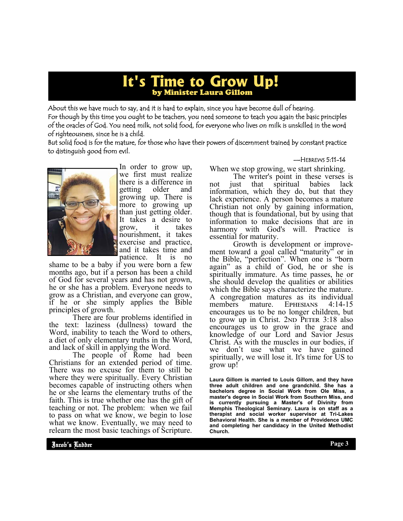## **It's Time to Grow Up!**  by Minister Laura Gillom

About this we have much to say, and it is hard to explain, since you have become dull of hearing. For though by this time you ought to be teachers, you need someone to teach you again the basic principles of the oracles of God. You need milk, not solid food, for everyone who lives on milk is unskilled in the word of righteousness, since he is a child.

But solid food is for the mature, for those who have their powers of discernment trained by constant practice to distinguish good from evil.

#### —HEBREWS 5:11-14



In order to grow up, we first must realize there is a difference in getting older and growing up. There is more to growing up than just getting older. It takes a desire to<br>grow it takes grow. nourishment, it takes exercise and practice, and it takes time and patience. It is no

shame to be a baby if you were born a few months ago, but if a person has been a child of God for several years and has not grown, he or she has a problem. Everyone needs to grow as a Christian, and everyone can grow, if he or she simply applies the Bible principles of growth.

 There are four problems identified in the text: laziness (dullness) toward the Word, inability to teach the Word to others, a diet of only elementary truths in the Word, and lack of skill in applying the Word.

 The people of Rome had been Christians for an extended period of time. There was no excuse for them to still be where they were spiritually. Every Christian becomes capable of instructing others when he or she learns the elementary truths of the faith. This is true whether one has the gift of teaching or not. The problem: when we fail to pass on what we know, we begin to lose what we know. Eventually, we may need to relearn the most basic teachings of Scripture.

When we stop growing, we start shrinking.

 The writer's point in these verses is not just that spiritual babies lack information, which they do, but that they lack experience. A person becomes a mature Christian not only by gaining information, though that is foundational, but by using that information to make decisions that are in harmony with God's will. Practice essential for maturity.

 Growth is development or improvement toward a goal called "maturity" or in the Bible, "perfection". When one is "born again" as a child of God, he or she is spiritually immature. As time passes, he or she should develop the qualities or abilities which the Bible says characterize the mature. A congregation matures as its individual members mature. EPHESIANS  $4.14-15$ encourages us to be no longer children, but to grow up in Christ.  $2ND$  PETER  $3:18$  also encourages us to grow in the grace and knowledge of our Lord and Savior Jesus Christ. As with the muscles in our bodies, if we don't use what we have gained spiritually, we will lose it. It's time for US to grow up!

**Laura Gillom is married to Louis Gillom, and they have three adult children and one grandchild. She has a bachelors degree in Social Work from Ole Miss, a master's degree in Social Work from Southern Miss, and is currently pursuing a Master's of Divinity from Memphis Theological Seminary. Laura is on staff as a therapist and social worker supervisor at Tri-Lakes Behavioral Health. She is a member of Providence UMC and completing her candidacy in the United Methodist Church.**